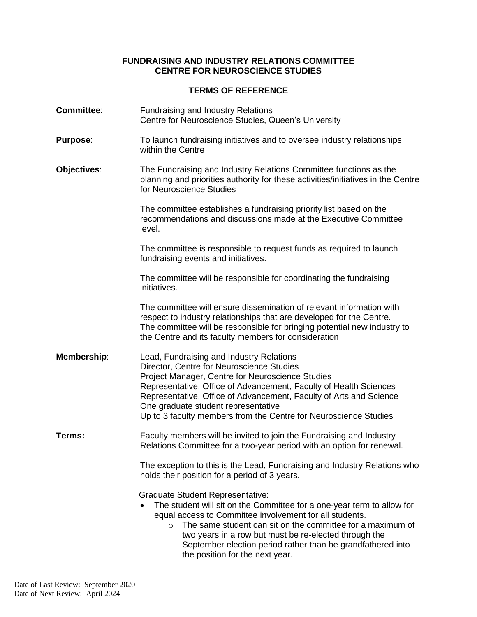## **FUNDRAISING AND INDUSTRY RELATIONS COMMITTEE CENTRE FOR NEUROSCIENCE STUDIES**

## **TERMS OF REFERENCE**

| <b>Committee:</b> | <b>Fundraising and Industry Relations</b><br>Centre for Neuroscience Studies, Queen's University                                                                                                                                                                                                                                                                                                                 |
|-------------------|------------------------------------------------------------------------------------------------------------------------------------------------------------------------------------------------------------------------------------------------------------------------------------------------------------------------------------------------------------------------------------------------------------------|
| <b>Purpose:</b>   | To launch fundraising initiatives and to oversee industry relationships<br>within the Centre                                                                                                                                                                                                                                                                                                                     |
| Objectives:       | The Fundraising and Industry Relations Committee functions as the<br>planning and priorities authority for these activities/initiatives in the Centre<br>for Neuroscience Studies                                                                                                                                                                                                                                |
|                   | The committee establishes a fundraising priority list based on the<br>recommendations and discussions made at the Executive Committee<br>level.                                                                                                                                                                                                                                                                  |
|                   | The committee is responsible to request funds as required to launch<br>fundraising events and initiatives.                                                                                                                                                                                                                                                                                                       |
|                   | The committee will be responsible for coordinating the fundraising<br>initiatives.                                                                                                                                                                                                                                                                                                                               |
|                   | The committee will ensure dissemination of relevant information with<br>respect to industry relationships that are developed for the Centre.<br>The committee will be responsible for bringing potential new industry to<br>the Centre and its faculty members for consideration                                                                                                                                 |
| Membership:       | Lead, Fundraising and Industry Relations<br>Director, Centre for Neuroscience Studies<br>Project Manager, Centre for Neuroscience Studies<br>Representative, Office of Advancement, Faculty of Health Sciences<br>Representative, Office of Advancement, Faculty of Arts and Science<br>One graduate student representative<br>Up to 3 faculty members from the Centre for Neuroscience Studies                  |
| Terms:            | Faculty members will be invited to join the Fundraising and Industry<br>Relations Committee for a two-year period with an option for renewal.                                                                                                                                                                                                                                                                    |
|                   | The exception to this is the Lead, Fundraising and Industry Relations who<br>holds their position for a period of 3 years.                                                                                                                                                                                                                                                                                       |
|                   | <b>Graduate Student Representative:</b><br>The student will sit on the Committee for a one-year term to allow for<br>equal access to Committee involvement for all students.<br>The same student can sit on the committee for a maximum of<br>$\circ$<br>two years in a row but must be re-elected through the<br>September election period rather than be grandfathered into<br>the position for the next year. |